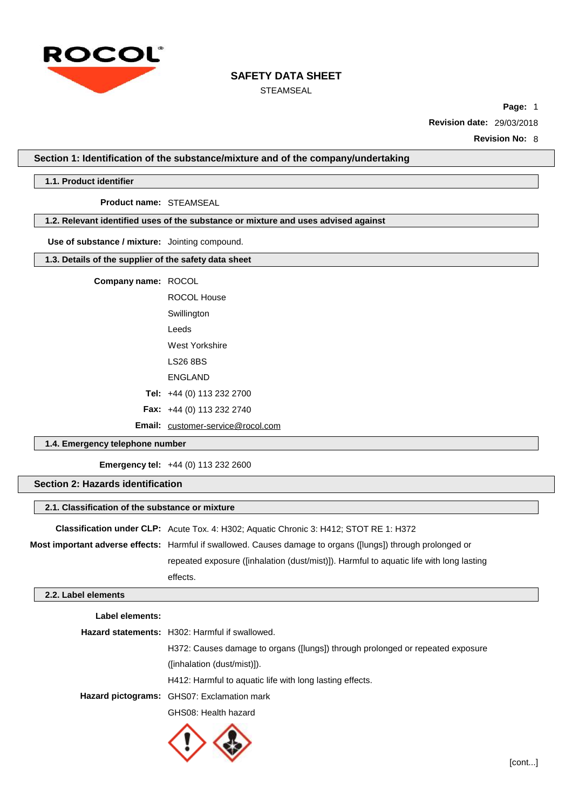

STEAMSEAL

**Page:** 1

**Revision date:** 29/03/2018

**Revision No:** 8

**Section 1: Identification of the substance/mixture and of the company/undertaking**

## **1.1. Product identifier**

## **Product name:** STEAMSEAL

# **1.2. Relevant identified uses of the substance or mixture and uses advised against**

## **Use of substance / mixture:** Jointing compound.

# **1.3. Details of the supplier of the safety data sheet**

## **Company name:** ROCOL

| ROCOL House                      |  |  |
|----------------------------------|--|--|
| Swillington                      |  |  |
| l eeds                           |  |  |
| West Yorkshire                   |  |  |
| LS26 8BS                         |  |  |
| ENGI AND                         |  |  |
| Tel: $+44(0)$ 113 232 2700       |  |  |
| <b>Fax:</b> +44 (0) 113 232 2740 |  |  |
|                                  |  |  |

# **Email:** [customer-service@rocol.com](mailto:customer-service@rocol.com)

## **1.4. Emergency telephone number**

**Emergency tel:** +44 (0) 113 232 2600

# **Section 2: Hazards identification**

#### **2.1. Classification of the substance or mixture**

| <b>Classification under CLP:</b> Acute Tox. 4: H302; Aquatic Chronic 3: H412; STOT RE 1: H372                       |
|---------------------------------------------------------------------------------------------------------------------|
| <b>Most important adverse effects:</b> Harmful if swallowed. Causes damage to organs ([lungs]) through prolonged or |
| repeated exposure ([inhalation (dust/mist)]). Harmful to aquatic life with long lasting                             |
| effects.                                                                                                            |

## **2.2. Label elements**

| Label elements: |                                                                                |
|-----------------|--------------------------------------------------------------------------------|
|                 | <b>Hazard statements:</b> H302: Harmful if swallowed.                          |
|                 | H372: Causes damage to organs ([lungs]) through prolonged or repeated exposure |
|                 | ((inhalation (dust/mist)).                                                     |
|                 | H412: Harmful to aquatic life with long lasting effects.                       |
|                 | Hazard pictograms: GHS07: Exclamation mark                                     |
|                 | GHS08: Health hazard                                                           |

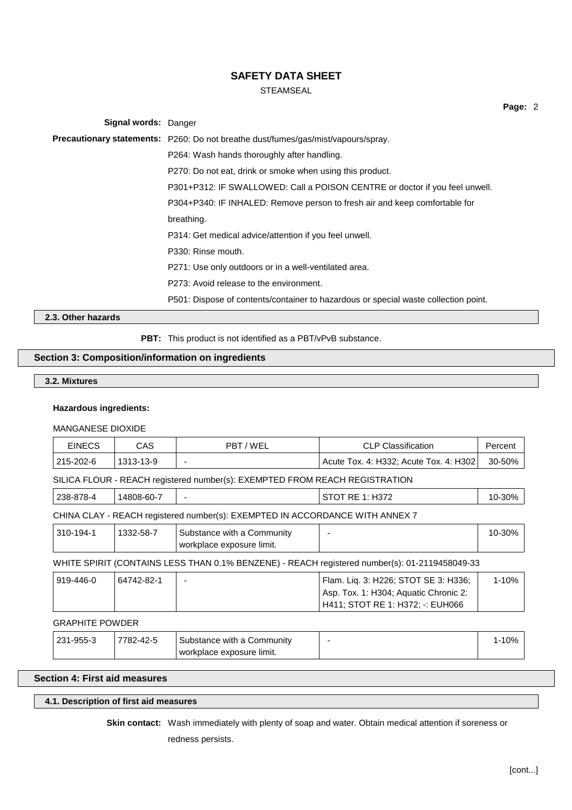# STEAMSEAL

| <b>Signal words: Danger</b> |                                                                                          |
|-----------------------------|------------------------------------------------------------------------------------------|
|                             | <b>Precautionary statements:</b> P260: Do not breathe dust/fumes/gas/mist/vapours/spray. |
|                             | P264: Wash hands thoroughly after handling.                                              |
|                             | P270: Do not eat, drink or smoke when using this product.                                |
|                             | P301+P312: IF SWALLOWED: Call a POISON CENTRE or doctor if you feel unwell.              |
|                             | P304+P340: IF INHALED: Remove person to fresh air and keep comfortable for               |
|                             | breathing.                                                                               |
|                             | P314: Get medical advice/attention if you feel unwell.                                   |
|                             | P330: Rinse mouth.                                                                       |
|                             | P271: Use only outdoors or in a well-ventilated area.                                    |
|                             | P273: Avoid release to the environment.                                                  |
|                             | P501: Dispose of contents/container to hazardous or special waste collection point.      |

**2.3. Other hazards**

**PBT:** This product is not identified as a PBT/vPvB substance.

# **Section 3: Composition/information on ingredients**

**3.2. Mixtures**

## **Hazardous ingredients:**

# MANGANESE DIOXIDE

| <b>EINECS</b>          | CAS.                                                                        | PBT/WEL                                                                      | <b>CLP Classification</b>                                                                                         | Percent   |  |  |
|------------------------|-----------------------------------------------------------------------------|------------------------------------------------------------------------------|-------------------------------------------------------------------------------------------------------------------|-----------|--|--|
| 215-202-6              | 1313-13-9                                                                   |                                                                              | Acute Tox. 4: H332; Acute Tox. 4: H302                                                                            | 30-50%    |  |  |
|                        | SILICA FLOUR - REACH registered number(s): EXEMPTED FROM REACH REGISTRATION |                                                                              |                                                                                                                   |           |  |  |
| 238-878-4              | 14808-60-7                                                                  |                                                                              | STOT RE 1: H372                                                                                                   | 10-30%    |  |  |
|                        |                                                                             | CHINA CLAY - REACH registered number(s): EXEMPTED IN ACCORDANCE WITH ANNEX 7 |                                                                                                                   |           |  |  |
| 310-194-1              | 1332-58-7                                                                   | Substance with a Community<br>workplace exposure limit.                      |                                                                                                                   | 10-30%    |  |  |
|                        |                                                                             |                                                                              | WHITE SPIRIT (CONTAINS LESS THAN 0.1% BENZENE) - REACH registered number(s): 01-2119458049-33                     |           |  |  |
| 919-446-0              | 64742-82-1                                                                  |                                                                              | Flam. Liq. 3: H226; STOT SE 3: H336;<br>Asp. Tox. 1: H304; Aquatic Chronic 2:<br>H411; STOT RE 1: H372; -: EUH066 | $1 - 10%$ |  |  |
| <b>GRAPHITE POWDER</b> |                                                                             |                                                                              |                                                                                                                   |           |  |  |
| 231-955-3              | 7782-42-5                                                                   | Substance with a Community<br>workplace exposure limit.                      |                                                                                                                   | $1 - 10%$ |  |  |

# **Section 4: First aid measures**

## **4.1. Description of first aid measures**

**Skin contact:** Wash immediately with plenty of soap and water. Obtain medical attention if soreness or

redness persists.

**Page:** 2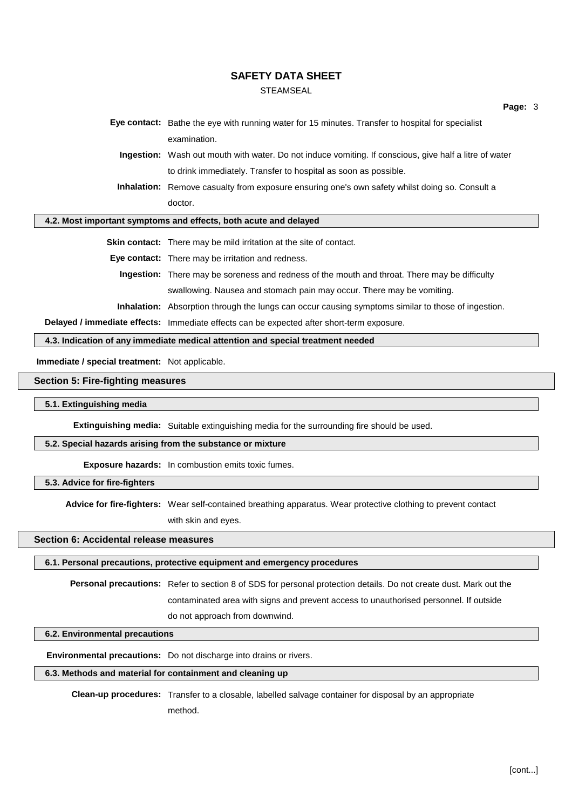#### **STEAMSEAL**

**Eye contact:** Bathe the eye with running water for 15 minutes. Transfer to hospital for specialist examination.

**Ingestion:** Wash out mouth with water. Do not induce vomiting. If conscious, give half a litre of water to drink immediately. Transfer to hospital as soon as possible.

**Inhalation:** Remove casualty from exposure ensuring one's own safety whilst doing so. Consult a doctor.

#### **4.2. Most important symptoms and effects, both acute and delayed**

**Skin contact:** There may be mild irritation at the site of contact.

**Eye contact:** There may be irritation and redness.

**Ingestion:** There may be soreness and redness of the mouth and throat. There may be difficulty swallowing. Nausea and stomach pain may occur. There may be vomiting.

**Inhalation:** Absorption through the lungs can occur causing symptoms similar to those of ingestion.

**Delayed / immediate effects:** Immediate effects can be expected after short-term exposure.

**4.3. Indication of any immediate medical attention and special treatment needed**

**Immediate / special treatment:** Not applicable.

#### **Section 5: Fire-fighting measures**

**5.1. Extinguishing media**

**Extinguishing media:** Suitable extinguishing media for the surrounding fire should be used.

#### **5.2. Special hazards arising from the substance or mixture**

**Exposure hazards:** In combustion emits toxic fumes.

**5.3. Advice for fire-fighters**

**Advice for fire-fighters:** Wear self-contained breathing apparatus. Wear protective clothing to prevent contact

with skin and eyes.

## **Section 6: Accidental release measures**

## **6.1. Personal precautions, protective equipment and emergency procedures**

**Personal precautions:** Refer to section 8 of SDS for personal protection details. Do not create dust. Mark out the contaminated area with signs and prevent access to unauthorised personnel. If outside do not approach from downwind.

#### **6.2. Environmental precautions**

**Environmental precautions:** Do not discharge into drains or rivers.

#### **6.3. Methods and material for containment and cleaning up**

**Clean-up procedures:** Transfer to a closable, labelled salvage container for disposal by an appropriate method.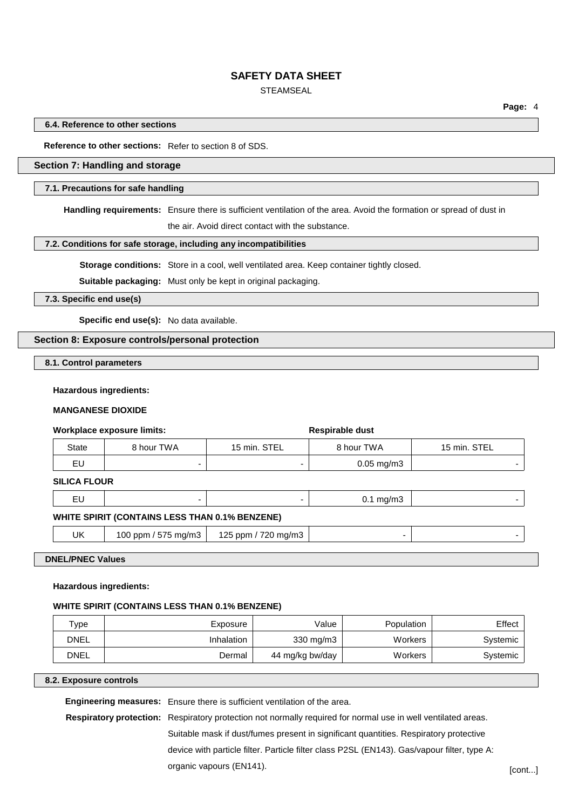# **STEAMSEAL**

**Page:** 4

#### **6.4. Reference to other sections**

**Reference to other sections:** Refer to section 8 of SDS.

# **Section 7: Handling and storage**

#### **7.1. Precautions for safe handling**

**Handling requirements:** Ensure there is sufficient ventilation of the area. Avoid the formation or spread of dust in

the air. Avoid direct contact with the substance.

## **7.2. Conditions for safe storage, including any incompatibilities**

**Storage conditions:** Store in a cool, well ventilated area. Keep container tightly closed.

**Suitable packaging:** Must only be kept in original packaging.

**7.3. Specific end use(s)**

**Specific end use(s):** No data available.

## **Section 8: Exposure controls/personal protection**

**8.1. Control parameters**

#### **Hazardous ingredients:**

### **MANGANESE DIOXIDE**

|              | Workplace exposure limits: |                          | Respirable dust         |              |
|--------------|----------------------------|--------------------------|-------------------------|--------------|
| <b>State</b> | 8 hour TWA                 | 15 min. STEL             | 8 hour TWA              | 15 min. STEL |
| EU           | -                          | $\overline{\phantom{0}}$ | $0.05 \,\mathrm{mg/m3}$ |              |

## **SILICA FLOUR**

| $14.011977 \cdot \text{A} \cdot \text{A} \cdot \text{A} \cdot \text{A} \cdot \text{A} \cdot \text{A} \cdot \text{A} \cdot \text{A} \cdot \text{A} \cdot \text{A} \cdot \text{A} \cdot \text{A} \cdot \text{A} \cdot \text{A} \cdot \text{A} \cdot \text{A} \cdot \text{A} \cdot \text{A} \cdot \text{A} \cdot \text{A} \cdot \text{A} \cdot \text{A} \cdot \text{A} \cdot \text{A} \cdot \text{A} \cdot \text{A} \cdot \text{A} \cdot \text{A} \cdot \text{A} \cdot \text{A} \$ |  |  |  |  |
|---------------------------------------------------------------------------------------------------------------------------------------------------------------------------------------------------------------------------------------------------------------------------------------------------------------------------------------------------------------------------------------------------------------------------------------------------------------------------------|--|--|--|--|

## **WHITE SPIRIT (CONTAINS LESS THAN 0.1% BENZENE)**

UK | 100 ppm / 575 mg/m3 | 125 ppm / 720 mg/m3

#### **DNEL/PNEC Values**

#### **Hazardous ingredients:**

#### **WHITE SPIRIT (CONTAINS LESS THAN 0.1% BENZENE)**

| $\tau_\mathsf{VDE}$ | Exposure   | Value              | Population     | Effect   |
|---------------------|------------|--------------------|----------------|----------|
| <b>DNEL</b>         | Inhalation | $330 \text{ mg/m}$ | <b>Workers</b> | Systemic |
| <b>DNEL</b>         | Dermal     | 44 mg/kg bw/day    | Workers        | Systemic |

## **8.2. Exposure controls**

**Engineering measures:** Ensure there is sufficient ventilation of the area.

**Respiratory protection:** Respiratory protection not normally required for normal use in well ventilated areas. Suitable mask if dust/fumes present in significant quantities. Respiratory protective device with particle filter. Particle filter class P2SL (EN143). Gas/vapour filter, type A: organic vapours (EN141). [cont...]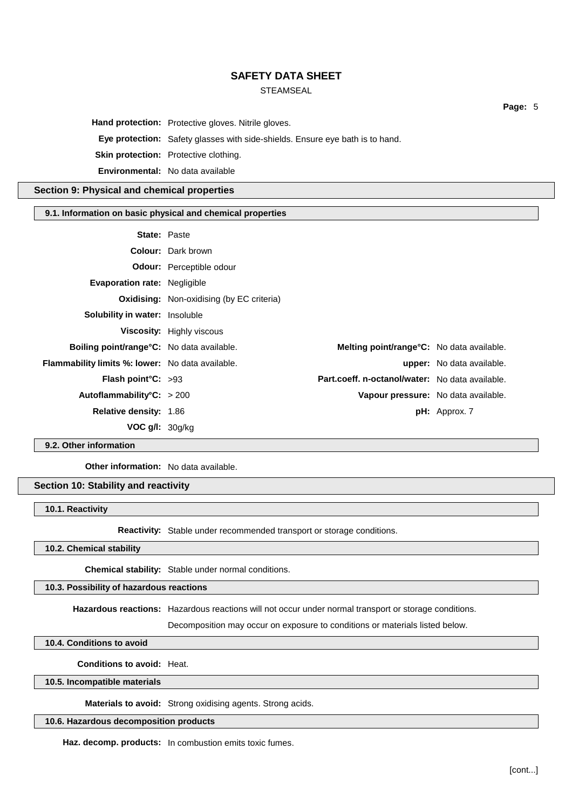# STEAMSEAL

**Hand protection:** Protective gloves. Nitrile gloves.

**Eye protection:** Safety glasses with side-shields. Ensure eye bath is to hand.

**Skin protection:** Protective clothing.

**Environmental:** No data available

## **Section 9: Physical and chemical properties**

#### **9.1. Information on basic physical and chemical properties**

| <b>Colour:</b> Dark brown<br><b>Odour:</b> Perceptible odour<br><b>Evaporation rate: Negligible</b>   |  |
|-------------------------------------------------------------------------------------------------------|--|
|                                                                                                       |  |
|                                                                                                       |  |
|                                                                                                       |  |
| <b>Oxidising:</b> Non-oxidising (by EC criteria)                                                      |  |
| <b>Solubility in water: Insoluble</b>                                                                 |  |
| <b>Viscosity:</b> Highly viscous                                                                      |  |
| <b>Boiling point/range °C:</b> No data available.<br><b>Melting point/range°C:</b> No data available. |  |
| <b>Flammability limits %: lower:</b> No data available.<br><b>upper:</b> No data available.           |  |
| Part.coeff. n-octanol/water: No data available.<br><b>Flash point °C:</b> $>93$                       |  |
| Autoflammability <sup>o</sup> C: > 200<br>Vapour pressure: No data available.                         |  |
| <b>Relative density: 1.86</b><br>$pH:$ Approx. 7                                                      |  |
| <b>VOC g/l:</b> $30g/kg$                                                                              |  |

**9.2. Other information**

**Other information:** No data available.

# **Section 10: Stability and reactivity**

**10.1. Reactivity**

**Reactivity:** Stable under recommended transport or storage conditions.

**10.2. Chemical stability**

**Chemical stability:** Stable under normal conditions.

## **10.3. Possibility of hazardous reactions**

**Hazardous reactions:** Hazardous reactions will not occur under normal transport or storage conditions.

Decomposition may occur on exposure to conditions or materials listed below.

**10.4. Conditions to avoid**

**Conditions to avoid:** Heat.

**10.5. Incompatible materials**

**Materials to avoid:** Strong oxidising agents. Strong acids.

**10.6. Hazardous decomposition products**

**Haz. decomp. products:** In combustion emits toxic fumes.

[cont...]

**Page:** 5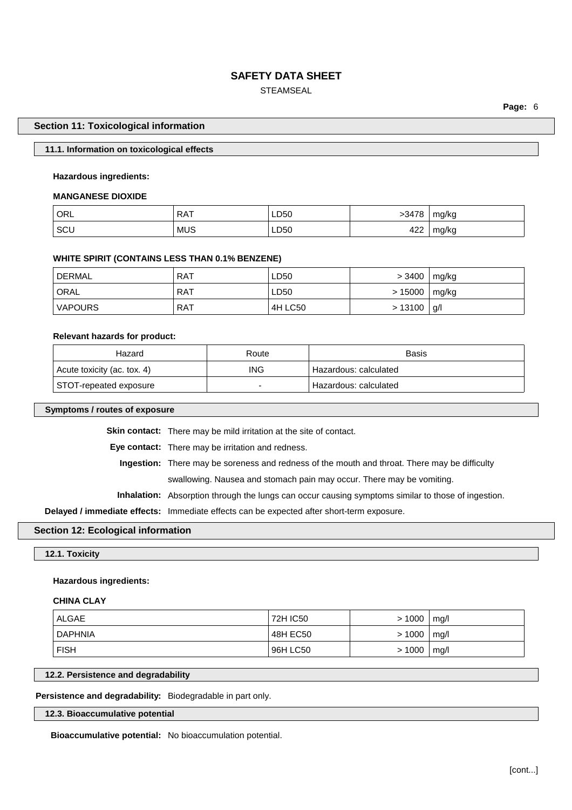# STEAMSEAL

**Page:** 6

## **Section 11: Toxicological information**

## **11.1. Information on toxicological effects**

## **Hazardous ingredients:**

#### **MANGANESE DIOXIDE**

| ORL | <b>RAT</b> | LD50 | $-3478$ | mg/kg |
|-----|------------|------|---------|-------|
| SCL | <b>MUS</b> | LD50 | 422     | mg/kg |

#### **WHITE SPIRIT (CONTAINS LESS THAN 0.1% BENZENE)**

| DERMAL <sup>'</sup> | <b>RAT</b> | LD50    | > 3400 | ∣ mg/kg |
|---------------------|------------|---------|--------|---------|
| <b>ORAL</b>         | <b>RAT</b> | LD50    | >15000 | ∣ mg/kg |
| <b>VAPOURS</b>      | <b>RAT</b> | 4H LC50 | >13100 | g       |

## **Relevant hazards for product:**

| Hazard                      | Route      | Basis                 |
|-----------------------------|------------|-----------------------|
| Acute toxicity (ac. tox. 4) | <b>ING</b> | Hazardous: calculated |
| STOT-repeated exposure      |            | Hazardous: calculated |

#### **Symptoms / routes of exposure**

**Skin contact:** There may be mild irritation at the site of contact.

**Eye contact:** There may be irritation and redness.

**Ingestion:** There may be soreness and redness of the mouth and throat. There may be difficulty

swallowing. Nausea and stomach pain may occur. There may be vomiting.

**Inhalation:** Absorption through the lungs can occur causing symptoms similar to those of ingestion.

**Delayed / immediate effects:** Immediate effects can be expected after short-term exposure.

## **Section 12: Ecological information**

**12.1. Toxicity**

#### **Hazardous ingredients:**

## **CHINA CLAY**

| ' ALGAE        | 72H IC50 | $> 1000$   mg/l |  |
|----------------|----------|-----------------|--|
| <b>DAPHNIA</b> | 48H EC50 | > 1000   mg/l   |  |
| <b>FISH</b>    | 96H LC50 | $> 1000$   mg/l |  |

#### **12.2. Persistence and degradability**

**Persistence and degradability:** Biodegradable in part only.

## **12.3. Bioaccumulative potential**

**Bioaccumulative potential:** No bioaccumulation potential.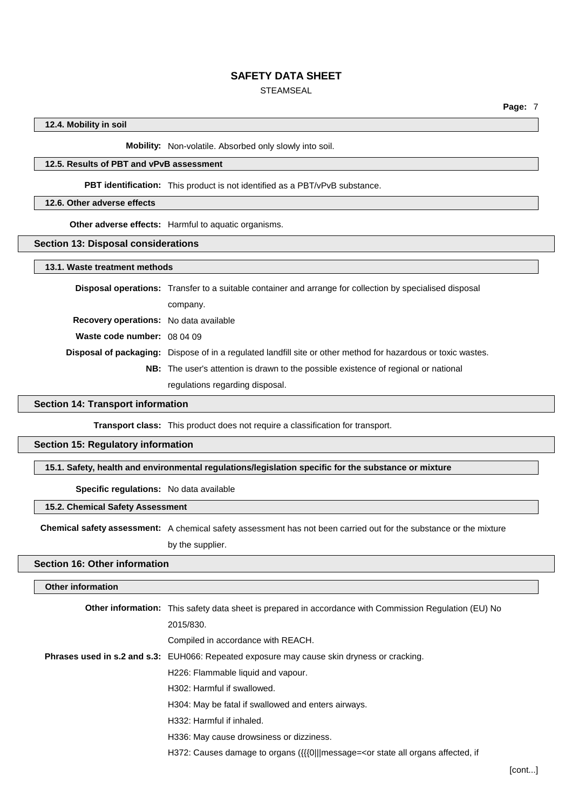# **STEAMSEAL**

## **12.4. Mobility in soil**

**Mobility:** Non-volatile. Absorbed only slowly into soil.

# **12.5. Results of PBT and vPvB assessment**

**PBT identification:** This product is not identified as a PBT/vPvB substance.

## **12.6. Other adverse effects**

**Other adverse effects:** Harmful to aquatic organisms.

#### **Section 13: Disposal considerations**

**13.1. Waste treatment methods**

|                                               | <b>Disposal operations:</b> Transfer to a suitable container and arrange for collection by specialised disposal      |
|-----------------------------------------------|----------------------------------------------------------------------------------------------------------------------|
|                                               | company.                                                                                                             |
| <b>Recovery operations:</b> No data available |                                                                                                                      |
| <b>Waste code number:</b> $080409$            |                                                                                                                      |
|                                               | <b>Disposal of packaging:</b> Dispose of in a regulated landfill site or other method for hazardous or toxic wastes. |
|                                               | <b>NB:</b> The user's attention is drawn to the possible existence of regional or national                           |
|                                               | regulations regarding disposal.                                                                                      |

#### **Section 14: Transport information**

**Transport class:** This product does not require a classification for transport.

#### **Section 15: Regulatory information**

**15.1. Safety, health and environmental regulations/legislation specific for the substance or mixture**

**Specific regulations:** No data available

#### **15.2. Chemical Safety Assessment**

**Chemical safety assessment:** A chemical safety assessment has not been carried out for the substance or the mixture by the supplier.

## **Section 16: Other information**

# **Other information Other information:** This safety data sheet is prepared in accordance with Commission Regulation (EU) No 2015/830. Compiled in accordance with REACH. **Phrases used in s.2 and s.3:** EUH066: Repeated exposure may cause skin dryness or cracking. H226: Flammable liquid and vapour. H302: Harmful if swallowed. H304: May be fatal if swallowed and enters airways. H332: Harmful if inhaled. H336: May cause drowsiness or dizziness. H372: Causes damage to organs ({{{0|||message=<or state all organs affected, if